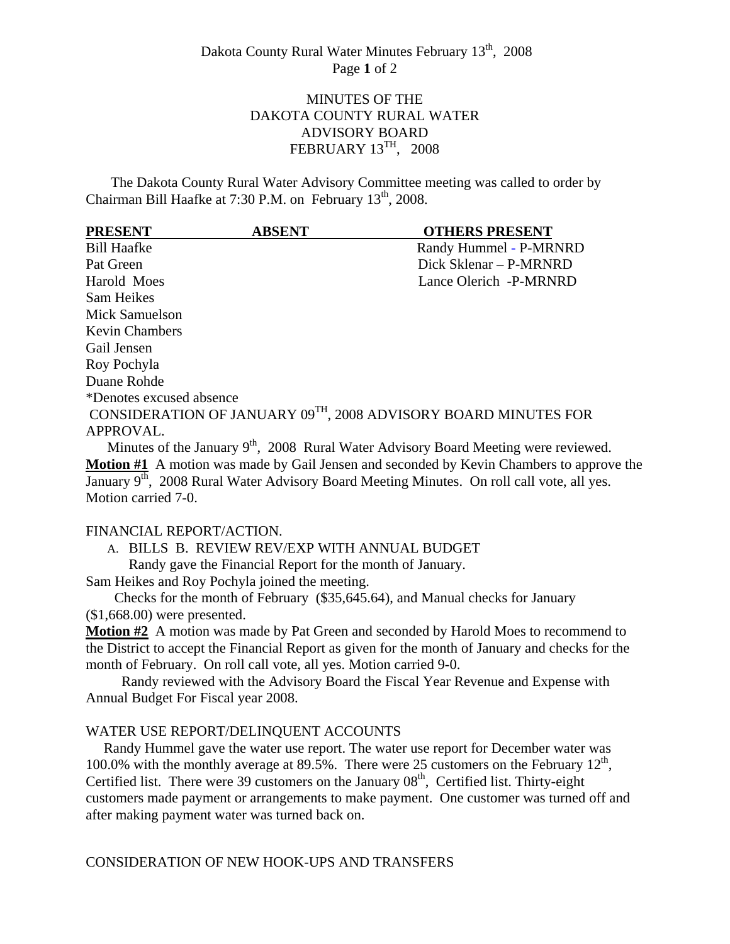# MINUTES OF THE DAKOTA COUNTY RURAL WATER ADVISORY BOARD FEBRUARY 13TH, 2008

 The Dakota County Rural Water Advisory Committee meeting was called to order by Chairman Bill Haafke at 7:30 P.M. on February 13<sup>th</sup>, 2008.

| <b>PRESENT</b>           | <b>ABSENT</b> | <b>OTHERS PRESENT</b>                                          |
|--------------------------|---------------|----------------------------------------------------------------|
| <b>Bill Haafke</b>       |               | Randy Hummel - P-MRNRD                                         |
| Pat Green                |               | Dick Sklenar – P-MRNRD                                         |
| Harold Moes              |               | Lance Olerich -P-MRNRD                                         |
| Sam Heikes               |               |                                                                |
| Mick Samuelson           |               |                                                                |
| <b>Kevin Chambers</b>    |               |                                                                |
| Gail Jensen              |               |                                                                |
| Roy Pochyla              |               |                                                                |
| Duane Rohde              |               |                                                                |
| *Denotes excused absence |               |                                                                |
|                          |               | CONSIDERATION OF JANUARY 09TH, 2008 ADVISORY BOARD MINUTES FOR |
| APPROVAL.                |               |                                                                |

Minutes of the January  $9<sup>th</sup>$ , 2008 Rural Water Advisory Board Meeting were reviewed. **Motion #1** A motion was made by Gail Jensen and seconded by Kevin Chambers to approve the January  $9<sup>th</sup>$ , 2008 Rural Water Advisory Board Meeting Minutes. On roll call vote, all yes. Motion carried 7-0.

#### FINANCIAL REPORT/ACTION.

A. BILLS B. REVIEW REV/EXP WITH ANNUAL BUDGET

Randy gave the Financial Report for the month of January.

Sam Heikes and Roy Pochyla joined the meeting.

 Checks for the month of February (\$35,645.64), and Manual checks for January (\$1,668.00) were presented.

**Motion #2** A motion was made by Pat Green and seconded by Harold Moes to recommend to the District to accept the Financial Report as given for the month of January and checks for the month of February. On roll call vote, all yes. Motion carried 9-0.

 Randy reviewed with the Advisory Board the Fiscal Year Revenue and Expense with Annual Budget For Fiscal year 2008.

#### WATER USE REPORT/DELINQUENT ACCOUNTS

 Randy Hummel gave the water use report. The water use report for December water was 100.0% with the monthly average at 89.5%. There were 25 customers on the February  $12<sup>th</sup>$ , Certified list. There were 39 customers on the January  $08<sup>th</sup>$ , Certified list. Thirty-eight customers made payment or arrangements to make payment. One customer was turned off and after making payment water was turned back on.

CONSIDERATION OF NEW HOOK-UPS AND TRANSFERS